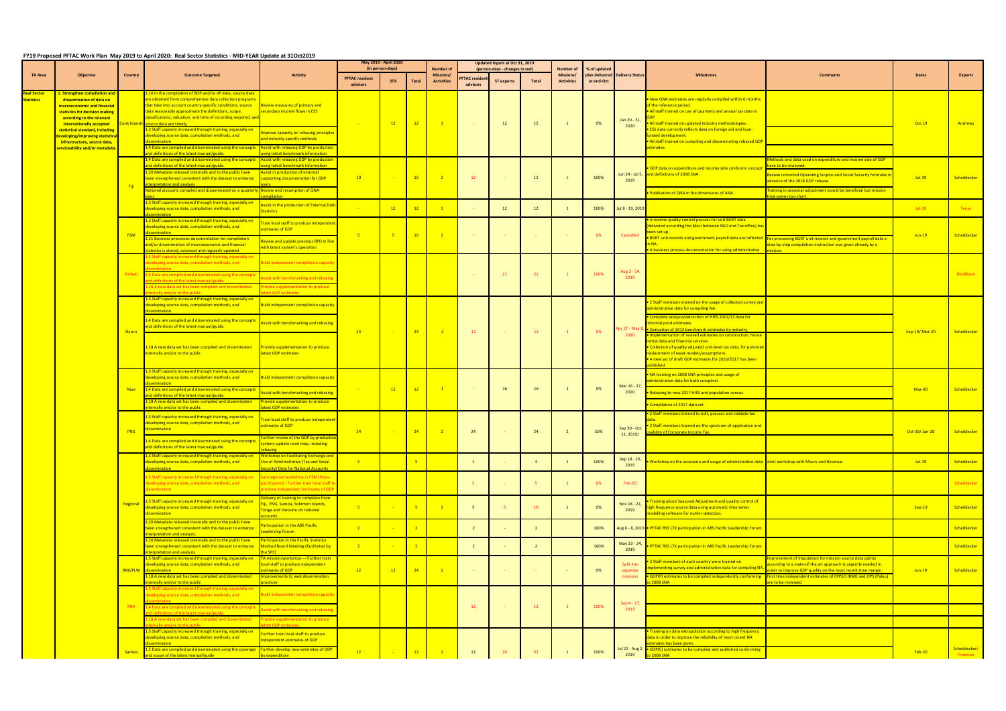## **FY19 Proposed PFTAC Work Plan May 2019 to April 2020: Real Sector Statistics - MID-YEAR Update at 31Oct2019**

|                                         |                                                                                                                                                                                     |                | TTIS Proposed Princ Work Plan Tway 2013 to April 2020. INSI Sector Statistics - Wild-TEAN Opdate at SIOC(2013)                                                                                                                                                                                                                                        |                                                                                                                                                               | May 2019 - April 2020 |                  |                            | Updated Inputs at Oct 31, 2019       |                     |                                |                |                        |                                |                                          |                                                                                                                                                                                                                                                                                |                                                                                                                                                                                                                                                                               |               |                          |
|-----------------------------------------|-------------------------------------------------------------------------------------------------------------------------------------------------------------------------------------|----------------|-------------------------------------------------------------------------------------------------------------------------------------------------------------------------------------------------------------------------------------------------------------------------------------------------------------------------------------------------------|---------------------------------------------------------------------------------------------------------------------------------------------------------------|-----------------------|------------------|----------------------------|--------------------------------------|---------------------|--------------------------------|----------------|------------------------|--------------------------------|------------------------------------------|--------------------------------------------------------------------------------------------------------------------------------------------------------------------------------------------------------------------------------------------------------------------------------|-------------------------------------------------------------------------------------------------------------------------------------------------------------------------------------------------------------------------------------------------------------------------------|---------------|--------------------------|
| <b>TA Area</b>                          | <b>Objective</b>                                                                                                                                                                    | <b>Country</b> | <b>Outcome Targeted</b>                                                                                                                                                                                                                                                                                                                               | <b>Activity</b>                                                                                                                                               | <b>PFTAC resident</b> | (in person-days) |                            | <b>Number of</b><br><b>Missions/</b> | <b>FTAC residen</b> | (person-days - changes in red) |                | Number of<br>Missions/ | % of updated<br>plan delivered | <b>Delivery Status</b>                   | <b>Milestones</b>                                                                                                                                                                                                                                                              | <b>Comments</b>                                                                                                                                                                                                                                                               | <b>Dates</b>  | Experts                  |
|                                         |                                                                                                                                                                                     |                |                                                                                                                                                                                                                                                                                                                                                       |                                                                                                                                                               | advisors              | <b>STX</b>       | <b>Total</b>               | <b>Activities</b>                    | advisors            | <b>ST experts</b>              | Total          | <b>Activities</b>      | at end-Oct                     |                                          |                                                                                                                                                                                                                                                                                |                                                                                                                                                                                                                                                                               |               |                          |
| <b>Real Sector</b><br><b>Statistics</b> | L. Strengthen compilation and<br>dissemination of data on<br>macroeconomic and financial<br>statistics for decision making<br>according to the relevant<br>internationally accepted |                | .10 In the compilation of BOP and/or IIP data, source data<br>are obtained from comprehensive data collection programs<br>that take into account country-specific conditions; source<br>data reasonably approximate the definitions, scope,<br>classifications, valuation, and time of recording required; and<br>Cook Islands source data are timely | <b>Review measures of primary and</b><br>econdary income flows in ESS                                                                                         |                       | 12               | 12                         | $\blacksquare$                       |                     | 12                             | 12             |                        | 0%                             | Jan 20 - 31,                             | New QNA estimates are regularly compiled within 6 months<br>of the reference period.<br>. All staff trained on use of quarterly and annual tax data in<br>All staff trained on updated industry methodologies.                                                                 |                                                                                                                                                                                                                                                                               | Oct-19        | Andrews                  |
|                                         | statistical standard, including<br>leveloping/improving statistica<br>infrastructure, source data,                                                                                  |                | 3 Staff capacity increased through training, especially on<br>developing source data, compilation methods, and                                                                                                                                                                                                                                        | nprove capacity on rebasing principles<br>nd industry-specific methods                                                                                        |                       |                  |                            |                                      |                     |                                |                |                        |                                | 2020                                     | . ESS data correctly reflects data on foreign aid and loan-<br>unded development.<br>• All staff trained on compiling and disseminating rebased GDP                                                                                                                            |                                                                                                                                                                                                                                                                               |               |                          |
|                                         | <mark>serviceability and/or metadata.</mark>                                                                                                                                        |                | 1.4 Data are compiled and disseminated using the concepts<br>ind definitions of the latest manual/guide                                                                                                                                                                                                                                               | <b>Assist with rebasing GDP by production</b><br>sing latest benchmark information                                                                            |                       |                  |                            |                                      |                     |                                |                |                        |                                |                                          | stimates.                                                                                                                                                                                                                                                                      |                                                                                                                                                                                                                                                                               |               |                          |
|                                         |                                                                                                                                                                                     |                | 1.4 Data are compiled and disseminated using the concepts<br>and definitions of the latest manual/guide.                                                                                                                                                                                                                                              | Assist with rebasing GDP by production<br>ing latest benchmark information                                                                                    |                       |                  |                            |                                      |                     |                                |                |                        |                                |                                          |                                                                                                                                                                                                                                                                                | lethods and data used on expenditure and income side of GDP<br>ive to be reviewed.                                                                                                                                                                                            |               |                          |
|                                         |                                                                                                                                                                                     |                | 20 Metadata released internally and to the public have                                                                                                                                                                                                                                                                                                | ssist in production of external                                                                                                                               | 10                    |                  | 10 <sup>°</sup>            | $\overline{\phantom{0}}$ 2           | 12                  |                                | 12             |                        | 100%                           | 2019                                     | GDP data on expenditure and income side conforms concept<br>Jun 24 - Jul 5, and definitions of 2008 SNA.                                                                                                                                                                       | <b>Review corrected Operating Surplus and Social Security formulas i</b>                                                                                                                                                                                                      | $Jul-19$      |                          |
|                                         |                                                                                                                                                                                     | - Fiji         | been strengthened consistent with the dataset to enhance<br>erpretation and analysis                                                                                                                                                                                                                                                                  | supporting documentation for GDP                                                                                                                              |                       |                  |                            |                                      |                     |                                |                |                        |                                |                                          |                                                                                                                                                                                                                                                                                | advance of the 2018 GDP release.                                                                                                                                                                                                                                              |               | Scheiblecker             |
|                                         |                                                                                                                                                                                     |                | <mark>lational accounts compiled and disseminated on a quarterly</mark>                                                                                                                                                                                                                                                                               | <b>Review and resumption of QNA</b><br><b>Inilation</b>                                                                                                       |                       |                  |                            |                                      |                     |                                |                |                        |                                |                                          | Publication of QNA in the dimensions of ANA.                                                                                                                                                                                                                                   | raining in seasonal adjustment would be beneficial but mission<br>ne seems too short.                                                                                                                                                                                         |               |                          |
|                                         |                                                                                                                                                                                     |                | .3 Staff capacity increased through training, especially on<br>developing source data, compilation methods, and                                                                                                                                                                                                                                       | ssist in the production of External Debt<br>tatistics                                                                                                         |                       | $-12$            | 12                         | $\mathbf{1}$                         |                     | 12                             | 12             |                        | 100%                           | Jul 8 - 19, 2019                         |                                                                                                                                                                                                                                                                                |                                                                                                                                                                                                                                                                               | $Jul-19$      | <b>Tenes</b>             |
|                                         |                                                                                                                                                                                     |                | 3 Staff capacity increased through training, especially on<br>developing source data, compilation methods, and                                                                                                                                                                                                                                        | rain local staff to produce independer<br>stimates of GDP                                                                                                     |                       | - 5              |                            |                                      |                     |                                |                |                        |                                |                                          | routine quality control process for unit BGRT data<br>lelivered according the MoU between NSO and Tax office) has<br>een set up. I                                                                                                                                             |                                                                                                                                                                                                                                                                               | $Jun-19$      |                          |
|                                         |                                                                                                                                                                                     | <b>FSM</b>     | 1.21 Business processes documentation for compilation<br>and/or dissemination of macroeconomic and financial<br>tatistics is stored, accessed and regularly updated                                                                                                                                                                                   | eview and update previous BPD in line<br>vith latest system's operation                                                                                       | $-5$                  |                  | 10                         | $\mathbf{1}$                         |                     |                                |                |                        | 0%                             | Cancelled                                | A business process documentation for using administrative                                                                                                                                                                                                                      | BGRT unit records and government payroll data are reflected For processing BGRT unit records and government payroll data a<br>tep-by-step compilation instruction was given already by a                                                                                      |               | Scheiblecker             |
|                                         |                                                                                                                                                                                     |                | 3 Staff capacity increased through training, especially on<br>leveloping source data, compilation methods, and                                                                                                                                                                                                                                        | uild independent compilation capacit                                                                                                                          |                       |                  |                            |                                      |                     |                                |                |                        |                                |                                          |                                                                                                                                                                                                                                                                                |                                                                                                                                                                                                                                                                               |               |                          |
|                                         |                                                                                                                                                                                     | Kiribati       | 1.4 Data are compiled and disseminated using the concept<br>definitions of the latest manual/guide.                                                                                                                                                                                                                                                   | sist with benchmarking and rebasin                                                                                                                            |                       |                  |                            |                                      |                     | 21                             | 21             |                        | 100%                           | Aug 2 - 14<br>2019                       |                                                                                                                                                                                                                                                                                |                                                                                                                                                                                                                                                                               |               | McAllister               |
|                                         |                                                                                                                                                                                     |                | .18 A new data set has been compiled and disseminated<br>ernally and/or to the public                                                                                                                                                                                                                                                                 | vide supplementation to produce<br>est GDP estimates                                                                                                          |                       |                  |                            |                                      |                     |                                |                |                        |                                |                                          |                                                                                                                                                                                                                                                                                |                                                                                                                                                                                                                                                                               |               |                          |
|                                         |                                                                                                                                                                                     | <b>Nauru</b>   | 3 Staff capacity increased through training, especially on<br>developing source data, compilation methods, and<br>ssemination                                                                                                                                                                                                                         | Build independent compilation capacity                                                                                                                        |                       |                  | $-24$                      | $\sqrt{2}$                           | 12                  |                                | 12             |                        | 0%                             | pr 27 - May 8,<br>2020                   | 2 Staff members trained on the usage of collected survey and<br>dministrative data for compiling NA.                                                                                                                                                                           |                                                                                                                                                                                                                                                                               | Sep-19/Mar-20 | Scheiblecker             |
|                                         |                                                                                                                                                                                     |                | .4 Data are compiled and disseminated using the concepts<br>and definitions of the latest manual/guide.                                                                                                                                                                                                                                               | ssist with benchmarking and rebasing                                                                                                                          | 24                    |                  |                            |                                      |                     |                                |                |                        |                                |                                          | Complete analysis/extraction of HIES 2012/13 data for<br>formal prod estimates.<br><b>Derivation of 2013 benchmark estimates by industry.</b>                                                                                                                                  |                                                                                                                                                                                                                                                                               |               |                          |
|                                         |                                                                                                                                                                                     |                | 18 A new data set has been compiled and disseminated<br>nternally and/or to the public                                                                                                                                                                                                                                                                | Provide supplementation to produce<br>atest GDP estimates                                                                                                     |                       |                  |                            |                                      |                     |                                |                |                        |                                |                                          | Implementation of revised estimates on construction, house<br>ental data and financial services.<br>Collection of quality adjusted unit-level tax data, for potential •<br>eplacement of weak models/assumptions.<br>. A new set of draft GDP estimates for 2016/2017 has been |                                                                                                                                                                                                                                                                               |               |                          |
|                                         |                                                                                                                                                                                     |                | 3 Staff capacity increased through training, especially on<br>developing source data, compilation methods, and<br>semination                                                                                                                                                                                                                          | Build independent compilation capacity                                                                                                                        |                       |                  |                            |                                      |                     |                                |                |                        |                                |                                          | NA training on 2008 SNA principles and usage of<br>dministrative data for both compilers                                                                                                                                                                                       |                                                                                                                                                                                                                                                                               |               |                          |
|                                         |                                                                                                                                                                                     | <b>Niue</b>    | 1.4 Data are compiled and disseminated using the concepts<br>d definitions of the latest manual/guide                                                                                                                                                                                                                                                 | ssist with benchmarking and rebasing                                                                                                                          |                       | 12               | 12                         | $\mathbf{1}$                         |                     | 16                             | 16             |                        | 0%                             | Mar 16 - 27,<br>2020                     | . Rebasing to new 2017 HIES and population census                                                                                                                                                                                                                              |                                                                                                                                                                                                                                                                               | $Mar-20$      | Scheiblecker             |
|                                         |                                                                                                                                                                                     |                | 1.18 A new data set has been compiled and disseminated<br>nternally and/or to the public                                                                                                                                                                                                                                                              | <b>Provide supplementation to produce</b><br>atest GDP estimates                                                                                              |                       |                  |                            |                                      |                     |                                |                |                        |                                |                                          | Compilation of 2017 data set                                                                                                                                                                                                                                                   |                                                                                                                                                                                                                                                                               |               |                          |
|                                         |                                                                                                                                                                                     | <b>PNG</b>     | 3 Staff capacity increased through training, especially on<br>developing source data, compilation methods, and<br>dissemination                                                                                                                                                                                                                       | rain local staff to produce independen<br>stimates of GDP                                                                                                     | 24                    | $\sim$ $\sim$    | $-24$                      | $\overline{2}$                       | 24                  |                                | 24             |                        | 50%                            | Sep 30 - Oct<br>11, 2019/ $\frac{12}{1}$ | 2 Staff members trained to edit, process and validate tax<br>• 2 Staff members trained on the spectrum of application and<br>sability of Corporate Income Tax.                                                                                                                 |                                                                                                                                                                                                                                                                               | Oct-19/Jan-20 | Scheiblecker             |
|                                         |                                                                                                                                                                                     |                | .4 Data are compiled and disseminated using the concepts<br>and definitions of the latest manual/guide                                                                                                                                                                                                                                                | <u>irther review of the GDP by productio</u><br>ystem; update road map, including<br>ebasing <b>a</b>                                                         |                       |                  |                            |                                      |                     |                                |                |                        |                                |                                          |                                                                                                                                                                                                                                                                                |                                                                                                                                                                                                                                                                               |               |                          |
|                                         |                                                                                                                                                                                     |                | 3 Staff capacity increased through training, especially on<br>developing source data, compilation methods, and                                                                                                                                                                                                                                        | <b>Workshop on Facilitating Exchange and</b><br><b>Jse of Administrative (Tax and Social</b>                                                                  | $-5$                  |                  | $-5$                       |                                      |                     |                                |                |                        | 100%                           | Sep 18 - 20,<br>2019                     | Workshop on the accession and usage of administrative data Joint workshop with Macro and Revenue                                                                                                                                                                               |                                                                                                                                                                                                                                                                               | $Jul-19$      | Scheiblecker             |
|                                         |                                                                                                                                                                                     |                | issemination<br>3 Staff capacity increased through training, especially on<br>leveloping source data, compilation methods, and<br><b>lissemination</b>                                                                                                                                                                                                | ecurity) Data for National Accounts<br>ub-regional workshop in FSM (Palau<br>articipants) - Further train local staff t<br>oduce independent estimates of GDP |                       |                  |                            |                                      | -51                 |                                |                |                        | 0%                             | Feb-20                                   |                                                                                                                                                                                                                                                                                |                                                                                                                                                                                                                                                                               |               | Scheiblecker             |
|                                         |                                                                                                                                                                                     | Regional       | .3 Staff capacity increased through training, especially on<br>eveloping source data, compilation methods, and<br>lissemination                                                                                                                                                                                                                       | elivery of training to compilers from<br>iji, PNG, Samoa, Solomon Islands,<br>onga and Vanuatu on national<br>counts -                                        | $-5$                  | $\sim 100$       | $-5$                       | $\mathbf{1}$                         | $-5$                |                                | $10-10$        |                        | 0%                             | Nov 18 - 22,<br>2019                     | raining about Seasonal Adjustment and quality control of<br>igh frequency source data using automatic time series<br>nodelling software for outlier detection.                                                                                                                 |                                                                                                                                                                                                                                                                               | $Sep-19$      | Scheiblecker             |
|                                         |                                                                                                                                                                                     |                | .20 Metadata released internally and to the public have<br>been strengthened consistent with the dataset to enhance<br><b>Interpretation and analysis.</b>                                                                                                                                                                                            | articipation in the ABS Pacific<br>eadership Forum                                                                                                            | $\overline{2}$        |                  | $\overline{\phantom{0}}$ 2 |                                      | $\overline{2}$      |                                | $\overline{2}$ |                        | 100%                           |                                          | Aug 6 - 8, 2019 • PFTAC RSS LTX participation in ABS Pacific Leadership Forum                                                                                                                                                                                                  |                                                                                                                                                                                                                                                                               |               | Scheiblecker             |
|                                         |                                                                                                                                                                                     |                | 1.20 Metadata released internally and to the public have<br>been strengthened consistent with the dataset to enhance<br>erpretation and analysis.                                                                                                                                                                                                     | Participation in the Pacific Statistics<br><b>Method Board Meeting (facilitated by</b><br><b>IDQ2</b> or                                                      | 2 <sup>2</sup>        |                  | $\overline{2}$             |                                      | $\overline{2}$      |                                | $\overline{2}$ |                        | 100%                           | May 23 - 24,<br>2019                     | PFTAC RSS LTX participation in ABS Pacific Leadership Forum                                                                                                                                                                                                                    |                                                                                                                                                                                                                                                                               |               | Scheiblecker             |
|                                         |                                                                                                                                                                                     | <b>RMI/PLW</b> | 3 Staff capacity increased through training, especially on<br>leveloping source data, compilation methods, and<br>ssemination<br>18 A new data set has been compiled and disseminated<br><b>Ternally and/or to the public</b>                                                                                                                         | A mission/workshop --- Further train<br>ocal staff to produce independent<br>imates of GDP<br>mprovements to web dissemination<br>actices                     | $-12$                 | $-12$            | $-24$                      | $\overline{1}$                       | $\sim$              |                                |                |                        | 0%                             | Split into<br>separate<br>missions       | 2 Staff members of each country were trained on<br>plementing survey and administrative data for compiling NA<br>GDP(P) estimates to be compiled independently conforming<br><b>2008 SNA</b>                                                                                   | mprovement of imputation for mission source data points<br>ccording to a state-of-the art approach is urgently needed in<br>der to improve GDP quality on the most recent time margin.<br>First time independent estimates of EPPSO (RMI) and OPS (Palau<br>re to be reviewed | $Jun-19$      | Scheiblecker             |
|                                         |                                                                                                                                                                                     |                | 3 Staff capacity increased through training, especially on I<br>eveloping source data, compilation methods, and                                                                                                                                                                                                                                       | uild independent compilation capacit                                                                                                                          |                       |                  |                            |                                      |                     |                                |                |                        |                                |                                          |                                                                                                                                                                                                                                                                                |                                                                                                                                                                                                                                                                               |               |                          |
|                                         |                                                                                                                                                                                     | <b>RMI</b>     | 4 Data are compiled and disseminated using the concep<br>definitions of the latest manual/guide                                                                                                                                                                                                                                                       | sist with benchmarking and rebasing                                                                                                                           |                       |                  |                            |                                      | 12                  |                                | 12             | $\mathbf{1}$           | 100%                           | Sep 4 - 17,<br>2019                      |                                                                                                                                                                                                                                                                                |                                                                                                                                                                                                                                                                               |               |                          |
|                                         |                                                                                                                                                                                     |                | 18 A new data set has been compiled and disseminated<br>ernally and/or to the public                                                                                                                                                                                                                                                                  | ovide supplementation to produce<br>est GDP estimates                                                                                                         |                       |                  |                            |                                      |                     |                                |                |                        |                                |                                          |                                                                                                                                                                                                                                                                                |                                                                                                                                                                                                                                                                               |               |                          |
|                                         |                                                                                                                                                                                     |                | 3 Staff capacity increased through training, especially on<br>developing source data, compilation methods, and<br>semination                                                                                                                                                                                                                          | urther train local staff to produce<br>ndependent estimates of GDP                                                                                            |                       |                  |                            |                                      |                     |                                |                |                        |                                |                                          | Training on data extrapolation according to high frequency<br>data in order to improve the reliability of most recent NA<br>imates has been given.                                                                                                                             |                                                                                                                                                                                                                                                                               |               |                          |
|                                         |                                                                                                                                                                                     | <b>Samoa</b>   | 5 Data are compiled and disseminated using the coverage<br>I scope of the latest manual/guide                                                                                                                                                                                                                                                         | <b>Further develop new estimates of GDP</b><br>v expenditure                                                                                                  | $-12$                 |                  | $-12$                      |                                      | 12                  |                                |                |                        | 100%                           | Jul 22 - Aug 2,<br>2019                  | • GDP(E) estimates to be compiled and published conforming<br><b>2008 SNA</b>                                                                                                                                                                                                  |                                                                                                                                                                                                                                                                               | <b>Feb-20</b> | Scheiblecker/<br>Freeman |